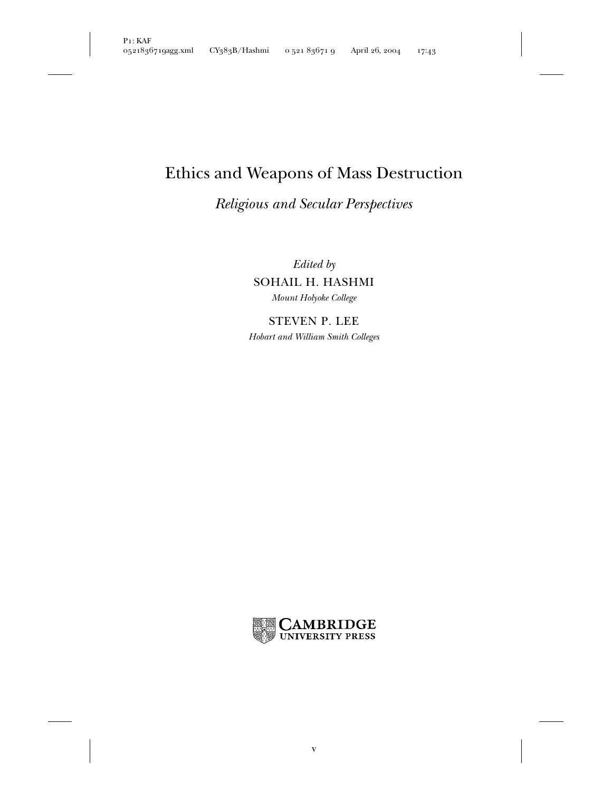# Ethics and Weapons of Mass Destruction

*Religious and Secular Perspectives*

*Edited by* SOHAIL H. HASHMI *Mount Holyoke College*

STEVEN P. LEE *Hobart and William Smith Colleges*

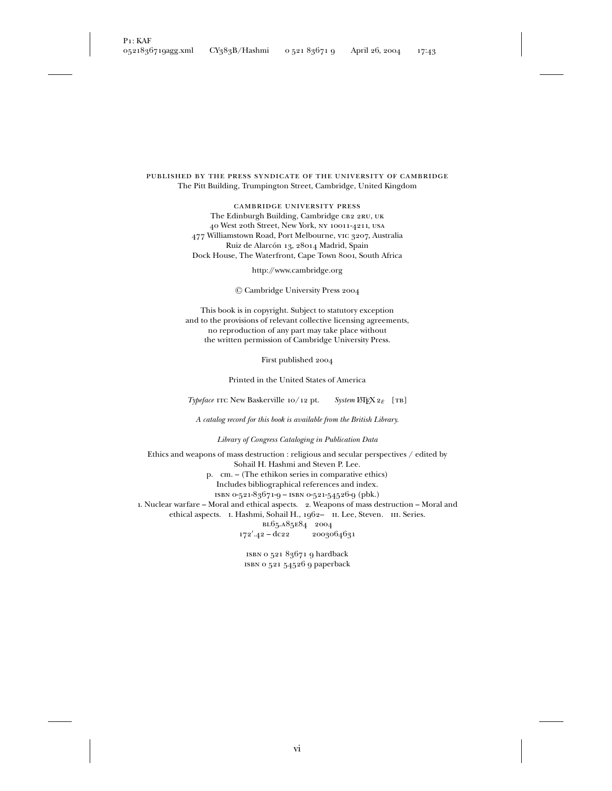published by the press syndicate of the university of cambridge The Pitt Building, Trumpington Street, Cambridge, United Kingdom

> cambridge university press The Edinburgh Building, Cambridge CB2 2RU, UK 40 West 20th Street, New York, ny 10011-4211, usa 477 Williamstown Road, Port Melbourne, vic 3207, Australia Ruiz de Alarcón 13, 28014 Madrid, Spain Dock House, The Waterfront, Cape Town 8001, South Africa

> > http://www.cambridge.org

-C Cambridge University Press 2004

This book is in copyright. Subject to statutory exception and to the provisions of relevant collective licensing agreements, no reproduction of any part may take place without the written permission of Cambridge University Press.

First published 2004

Printed in the United States of America

*Typeface* ITC New Baskerville 10/12 pt. *System* LATEX 2<sub>ε</sub> [TB]

*A catalog record for this book is available from the British Library.*

*Library of Congress Cataloging in Publication Data*

Ethics and weapons of mass destruction : religious and secular perspectives / edited by Sohail H. Hashmi and Steven P. Lee.

p. cm. – (The ethikon series in comparative ethics)

Includes bibliographical references and index. isbn 0-521-83671-9 – isbn 0-521-54526-9 (pbk.)

1. Nuclear warfare – Moral and ethical aspects. 2. Weapons of mass destruction – Moral and ethical aspects. I. Hashmi, Sohail H., 1962- II. Lee, Steven. III. Series.

bl65.a85e84 2004

 $172'.42 - dc22$ 2003064631

isbn 0 521 83671 9 hardback isbn 0 521 54526 9 paperback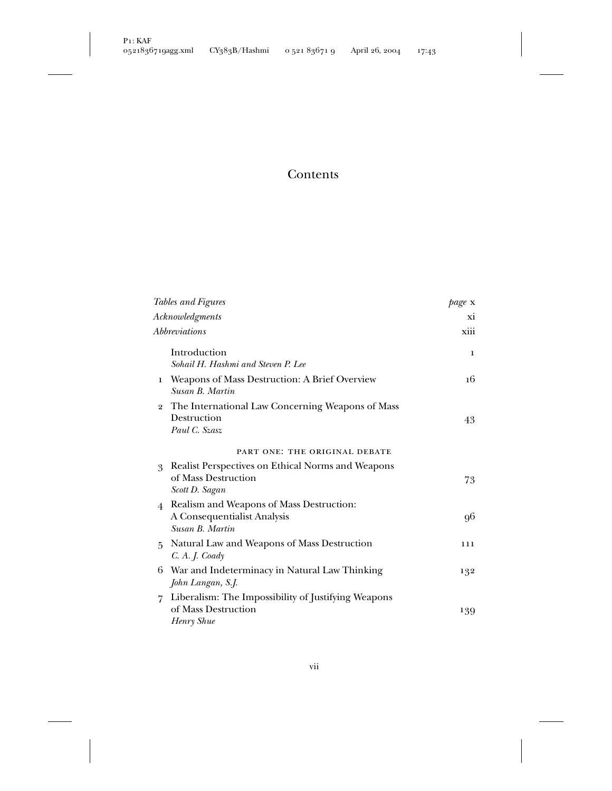# Contents

|                | Tables and Figures                                                                         | page x |
|----------------|--------------------------------------------------------------------------------------------|--------|
|                | <b>Acknowledgments</b>                                                                     | xi     |
|                | Abbreviations                                                                              | xiii   |
|                | Introduction<br>Sohail H. Hashmi and Steven P. Lee                                         | 1      |
| 1              | Weapons of Mass Destruction: A Brief Overview<br>Susan B. Martin                           | 16     |
| $\overline{2}$ | The International Law Concerning Weapons of Mass<br>Destruction<br>Paul C. Szasz           | 43     |
|                | PART ONE: THE ORIGINAL DEBATE                                                              |        |
| 3              | Realist Perspectives on Ethical Norms and Weapons<br>of Mass Destruction<br>Scott D. Sagan | 73     |
| $\overline{4}$ | Realism and Weapons of Mass Destruction:<br>A Consequentialist Analysis<br>Susan B. Martin | 96     |
| 5              | Natural Law and Weapons of Mass Destruction<br>C. A. J. Coady                              | 111    |
| 6              | War and Indeterminacy in Natural Law Thinking<br>John Langan, S.J.                         | 132    |
| $\overline{7}$ | Liberalism: The Impossibility of Justifying Weapons<br>of Mass Destruction<br>Henry Shue   | 139    |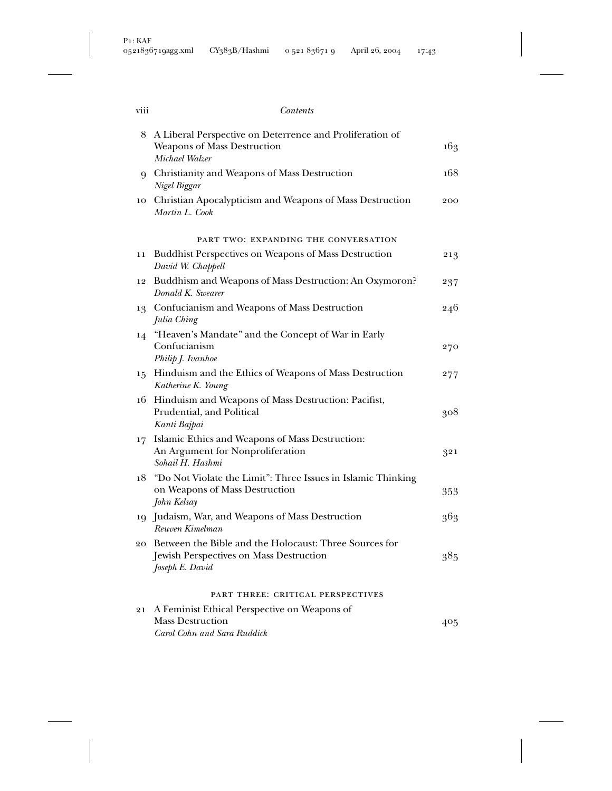| 8  | A Liberal Perspective on Deterrence and Proliferation of<br>Weapons of Mass Destruction<br>Michael Walzer            | 163 |
|----|----------------------------------------------------------------------------------------------------------------------|-----|
| 9  | Christianity and Weapons of Mass Destruction<br>Nigel Biggar                                                         | 168 |
| 10 | Christian Apocalypticism and Weapons of Mass Destruction<br>Martin L. Cook                                           | 200 |
|    | PART TWO: EXPANDING THE CONVERSATION                                                                                 |     |
| 11 | Buddhist Perspectives on Weapons of Mass Destruction<br>David W. Chappell                                            | 213 |
| 12 | Buddhism and Weapons of Mass Destruction: An Oxymoron?<br>Donald K. Swearer                                          | 237 |
| 13 | Confucianism and Weapons of Mass Destruction<br>Julia Ching                                                          | 246 |
| 14 | "Heaven's Mandate" and the Concept of War in Early<br>Confucianism<br>Philip J. Ivanhoe                              | 270 |
| 15 | Hinduism and the Ethics of Weapons of Mass Destruction<br>Katherine K. Young                                         | 277 |
| 16 | Hinduism and Weapons of Mass Destruction: Pacifist,<br>Prudential, and Political<br>Kanti Bajpai                     | 308 |
| 17 | Islamic Ethics and Weapons of Mass Destruction:<br>An Argument for Nonproliferation<br>Sohail H. Hashmi              | 321 |
| 18 | "Do Not Violate the Limit": Three Issues in Islamic Thinking<br>on Weapons of Mass Destruction<br>John Kelsay        | 353 |
| 19 | Judaism, War, and Weapons of Mass Destruction<br>Reuven Kimelman                                                     | 363 |
| 20 | Between the Bible and the Holocaust: Three Sources for<br>Jewish Perspectives on Mass Destruction<br>Joseph E. David | 385 |
|    | PART THREE: CRITICAL PERSPECTIVES                                                                                    |     |
| 21 | A Feminist Ethical Perspective on Weapons of<br><b>Mass Destruction</b><br>Carol Cohn and Sara Ruddick               | 405 |

viii *Contents*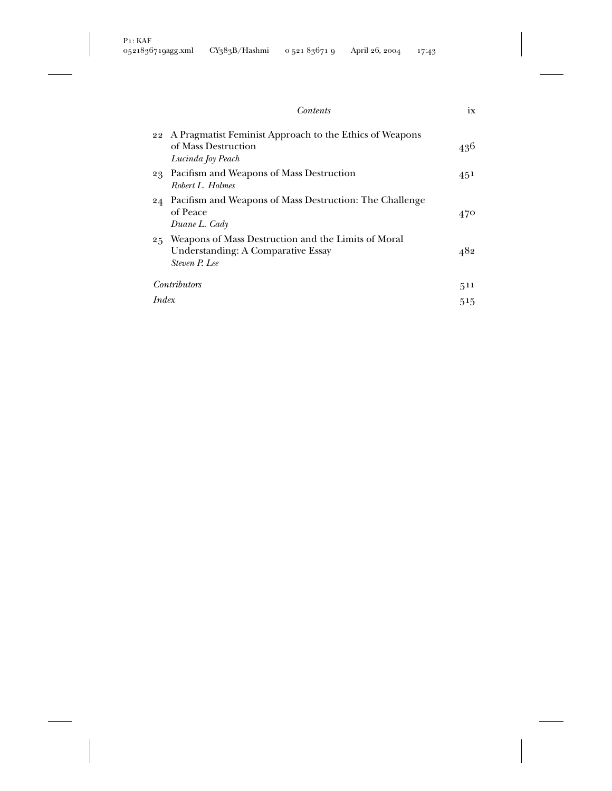|       | <i>Contents</i>                                                                                            | ix  |
|-------|------------------------------------------------------------------------------------------------------------|-----|
| 22    | A Pragmatist Feminist Approach to the Ethics of Weapons<br>of Mass Destruction<br>Lucinda Joy Peach        | 436 |
| 23    | Pacifism and Weapons of Mass Destruction<br>Robert L. Holmes                                               | 451 |
| 24    | Pacifism and Weapons of Mass Destruction: The Challenge<br>of Peace<br>Duane L. Cady                       | 470 |
| 25    | Weapons of Mass Destruction and the Limits of Moral<br>Understanding: A Comparative Essay<br>Steven P. Lee | 482 |
|       | Contributors                                                                                               | 511 |
| Index |                                                                                                            | 515 |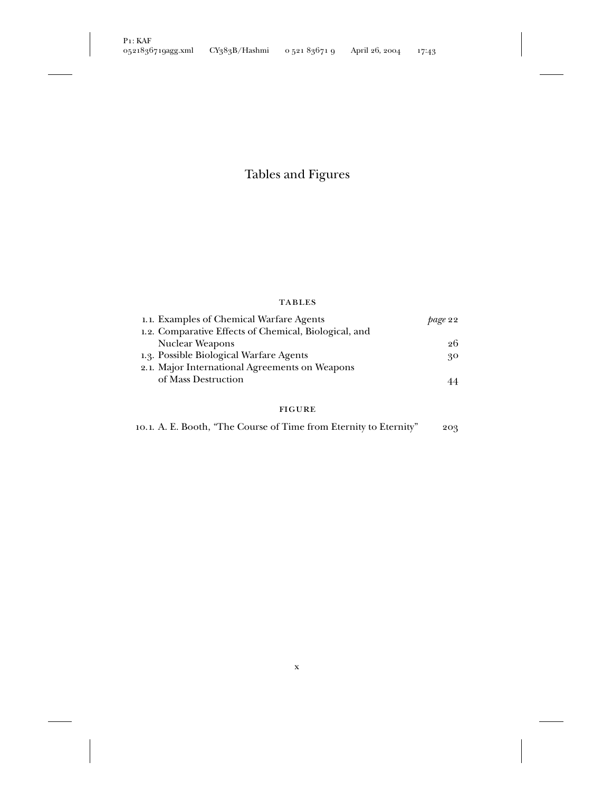# Tables and Figures

# **TABLES**

| 1.1. Examples of Chemical Warfare Agents              | page 22 |
|-------------------------------------------------------|---------|
| 1.2. Comparative Effects of Chemical, Biological, and |         |
| <b>Nuclear Weapons</b>                                | 26      |
| 1.3. Possible Biological Warfare Agents               | 30      |
| 2.1. Major International Agreements on Weapons        |         |
| of Mass Destruction                                   |         |

#### figure

| 10.1. A. E. Booth, "The Course of Time from Eternity to Eternity" |  |  |  |  | 208 |
|-------------------------------------------------------------------|--|--|--|--|-----|
|-------------------------------------------------------------------|--|--|--|--|-----|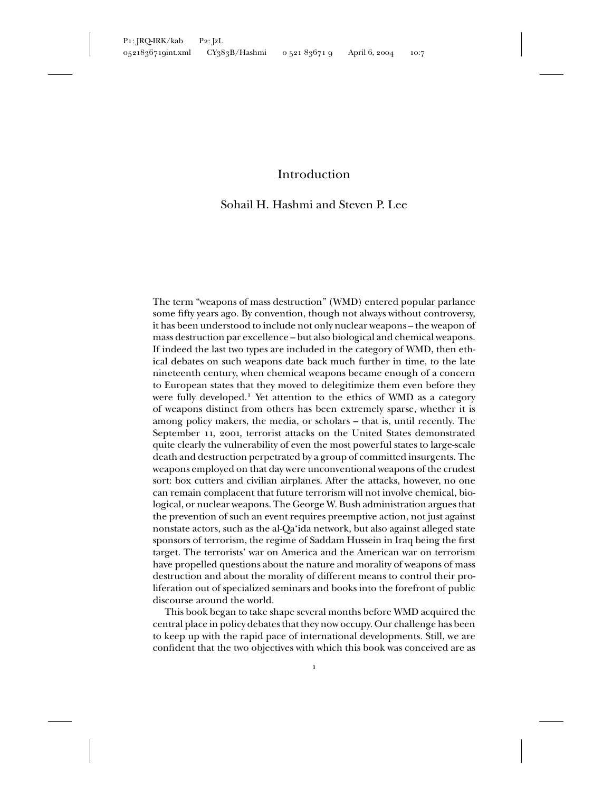# Sohail H. Hashmi and Steven P. Lee

The term "weapons of mass destruction" (WMD) entered popular parlance some fifty years ago. By convention, though not always without controversy, it has been understood to include not only nuclear weapons – the weapon of mass destruction par excellence – but also biological and chemical weapons. If indeed the last two types are included in the category of WMD, then ethical debates on such weapons date back much further in time, to the late nineteenth century, when chemical weapons became enough of a concern to European states that they moved to delegitimize them even before they were fully developed.<sup>1</sup> Yet attention to the ethics of WMD as a category of weapons distinct from others has been extremely sparse, whether it is among policy makers, the media, or scholars – that is, until recently. The September 11, 2001, terrorist attacks on the United States demonstrated quite clearly the vulnerability of even the most powerful states to large-scale death and destruction perpetrated by a group of committed insurgents. The weapons employed on that day were unconventional weapons of the crudest sort: box cutters and civilian airplanes. After the attacks, however, no one can remain complacent that future terrorism will not involve chemical, biological, or nuclear weapons. The George W. Bush administration argues that the prevention of such an event requires preemptive action, not just against nonstate actors, such as the al-Qa'ida network, but also against alleged state sponsors of terrorism, the regime of Saddam Hussein in Iraq being the first target. The terrorists' war on America and the American war on terrorism have propelled questions about the nature and morality of weapons of mass destruction and about the morality of different means to control their proliferation out of specialized seminars and books into the forefront of public discourse around the world.

This book began to take shape several months before WMD acquired the central place in policy debates that they now occupy. Our challenge has been to keep up with the rapid pace of international developments. Still, we are confident that the two objectives with which this book was conceived are as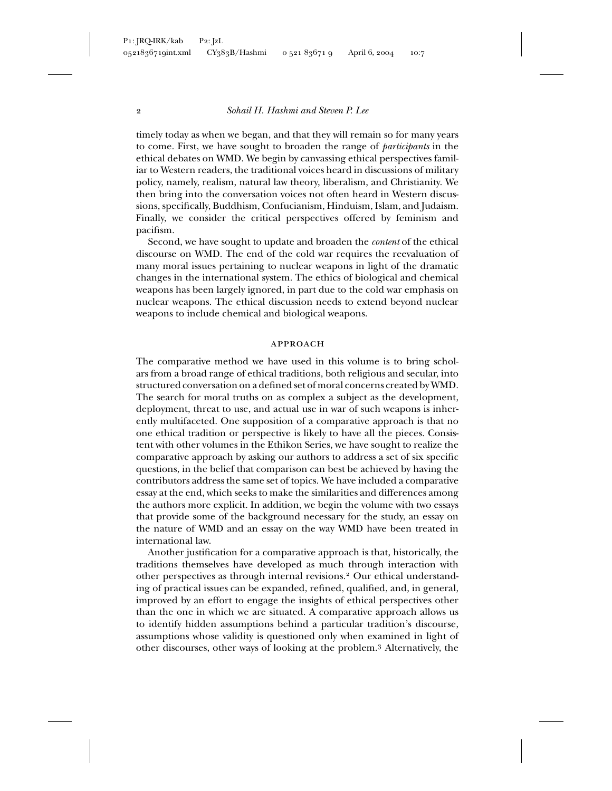timely today as when we began, and that they will remain so for many years to come. First, we have sought to broaden the range of *participants* in the ethical debates on WMD. We begin by canvassing ethical perspectives familiar to Western readers, the traditional voices heard in discussions of military policy, namely, realism, natural law theory, liberalism, and Christianity. We then bring into the conversation voices not often heard in Western discussions, specifically, Buddhism, Confucianism, Hinduism, Islam, and Judaism. Finally, we consider the critical perspectives offered by feminism and pacifism.

Second, we have sought to update and broaden the *content* of the ethical discourse on WMD. The end of the cold war requires the reevaluation of many moral issues pertaining to nuclear weapons in light of the dramatic changes in the international system. The ethics of biological and chemical weapons has been largely ignored, in part due to the cold war emphasis on nuclear weapons. The ethical discussion needs to extend beyond nuclear weapons to include chemical and biological weapons.

#### approach

The comparative method we have used in this volume is to bring scholars from a broad range of ethical traditions, both religious and secular, into structured conversation on a defined set of moral concerns created by WMD. The search for moral truths on as complex a subject as the development, deployment, threat to use, and actual use in war of such weapons is inherently multifaceted. One supposition of a comparative approach is that no one ethical tradition or perspective is likely to have all the pieces. Consistent with other volumes in the Ethikon Series, we have sought to realize the comparative approach by asking our authors to address a set of six specific questions, in the belief that comparison can best be achieved by having the contributors address the same set of topics. We have included a comparative essay at the end, which seeks to make the similarities and differences among the authors more explicit. In addition, we begin the volume with two essays that provide some of the background necessary for the study, an essay on the nature of WMD and an essay on the way WMD have been treated in international law.

Another justification for a comparative approach is that, historically, the traditions themselves have developed as much through interaction with other perspectives as through internal revisions.<sup>2</sup> Our ethical understanding of practical issues can be expanded, refined, qualified, and, in general, improved by an effort to engage the insights of ethical perspectives other than the one in which we are situated. A comparative approach allows us to identify hidden assumptions behind a particular tradition's discourse, assumptions whose validity is questioned only when examined in light of other discourses, other ways of looking at the problem.<sup>3</sup> Alternatively, the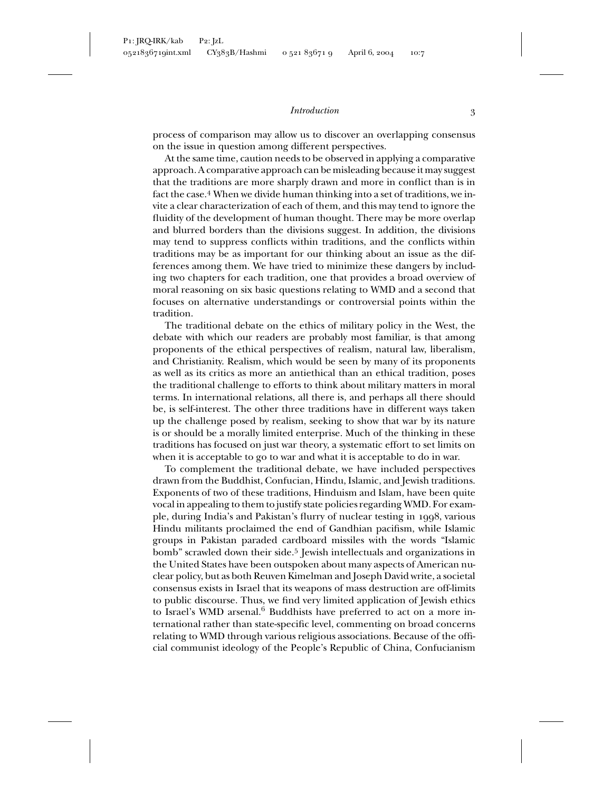process of comparison may allow us to discover an overlapping consensus on the issue in question among different perspectives.

At the same time, caution needs to be observed in applying a comparative approach. A comparative approach can be misleading because it may suggest that the traditions are more sharply drawn and more in conflict than is in fact the case.<sup>4</sup> When we divide human thinking into a set of traditions, we invite a clear characterization of each of them, and this may tend to ignore the fluidity of the development of human thought. There may be more overlap and blurred borders than the divisions suggest. In addition, the divisions may tend to suppress conflicts within traditions, and the conflicts within traditions may be as important for our thinking about an issue as the differences among them. We have tried to minimize these dangers by including two chapters for each tradition, one that provides a broad overview of moral reasoning on six basic questions relating to WMD and a second that focuses on alternative understandings or controversial points within the tradition.

The traditional debate on the ethics of military policy in the West, the debate with which our readers are probably most familiar, is that among proponents of the ethical perspectives of realism, natural law, liberalism, and Christianity. Realism, which would be seen by many of its proponents as well as its critics as more an antiethical than an ethical tradition, poses the traditional challenge to efforts to think about military matters in moral terms. In international relations, all there is, and perhaps all there should be, is self-interest. The other three traditions have in different ways taken up the challenge posed by realism, seeking to show that war by its nature is or should be a morally limited enterprise. Much of the thinking in these traditions has focused on just war theory, a systematic effort to set limits on when it is acceptable to go to war and what it is acceptable to do in war.

To complement the traditional debate, we have included perspectives drawn from the Buddhist, Confucian, Hindu, Islamic, and Jewish traditions. Exponents of two of these traditions, Hinduism and Islam, have been quite vocal in appealing to them to justify state policies regarding WMD. For example, during India's and Pakistan's flurry of nuclear testing in 1998, various Hindu militants proclaimed the end of Gandhian pacifism, while Islamic groups in Pakistan paraded cardboard missiles with the words "Islamic bomb" scrawled down their side.<sup>5</sup> Jewish intellectuals and organizations in the United States have been outspoken about many aspects of American nuclear policy, but as both Reuven Kimelman and Joseph David write, a societal consensus exists in Israel that its weapons of mass destruction are off-limits to public discourse. Thus, we find very limited application of Jewish ethics to Israel's WMD arsenal.<sup>6</sup> Buddhists have preferred to act on a more international rather than state-specific level, commenting on broad concerns relating to WMD through various religious associations. Because of the official communist ideology of the People's Republic of China, Confucianism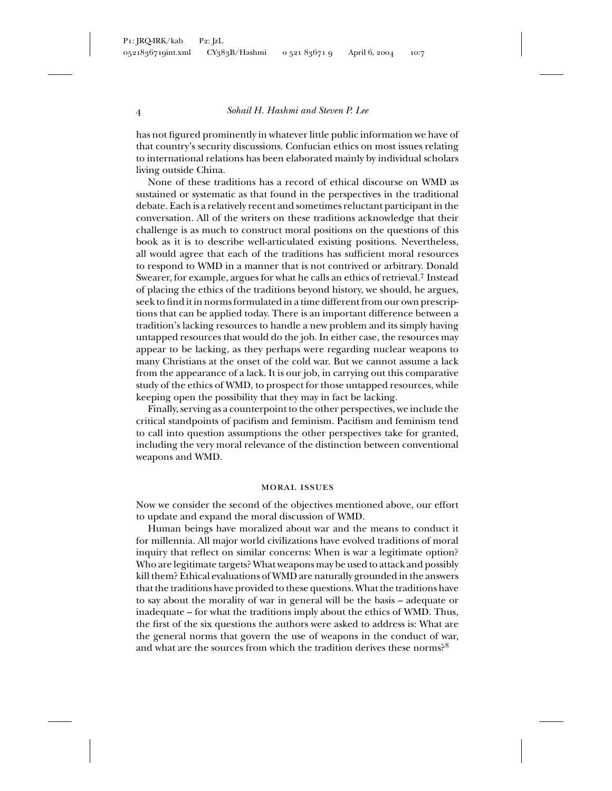has not figured prominently in whatever little public information we have of that country's security discussions. Confucian ethics on most issues relating to international relations has been elaborated mainly by individual scholars living outside China.

None of these traditions has a record of ethical discourse on WMD as sustained or systematic as that found in the perspectives in the traditional debate. Each is a relatively recent and sometimes reluctant participant in the conversation. All of the writers on these traditions acknowledge that their challenge is as much to construct moral positions on the questions of this book as it is to describe well-articulated existing positions. Nevertheless, all would agree that each of the traditions has sufficient moral resources to respond to WMD in a manner that is not contrived or arbitrary. Donald Swearer, for example, argues for what he calls an ethics of retrieval.<sup>7</sup> Instead of placing the ethics of the traditions beyond history, we should, he argues, seek to find it in norms formulated in a time different from our own prescriptions that can be applied today. There is an important difference between a tradition's lacking resources to handle a new problem and its simply having untapped resources that would do the job. In either case, the resources may appear to be lacking, as they perhaps were regarding nuclear weapons to many Christians at the onset of the cold war. But we cannot assume a lack from the appearance of a lack. It is our job, in carrying out this comparative study of the ethics of WMD, to prospect for those untapped resources, while keeping open the possibility that they may in fact be lacking.

Finally, serving as a counterpoint to the other perspectives, we include the critical standpoints of pacifism and feminism. Pacifism and feminism tend to call into question assumptions the other perspectives take for granted, including the very moral relevance of the distinction between conventional weapons and WMD.

#### moral issues

Now we consider the second of the objectives mentioned above, our effort to update and expand the moral discussion of WMD.

Human beings have moralized about war and the means to conduct it for millennia. All major world civilizations have evolved traditions of moral inquiry that reflect on similar concerns: When is war a legitimate option? Who are legitimate targets? What weapons may be used to attack and possibly kill them? Ethical evaluations of WMD are naturally grounded in the answers that the traditions have provided to these questions. What the traditions have to say about the morality of war in general will be the basis – adequate or inadequate – for what the traditions imply about the ethics of WMD. Thus, the first of the six questions the authors were asked to address is: What are the general norms that govern the use of weapons in the conduct of war, and what are the sources from which the tradition derives these norms?<sup>8</sup>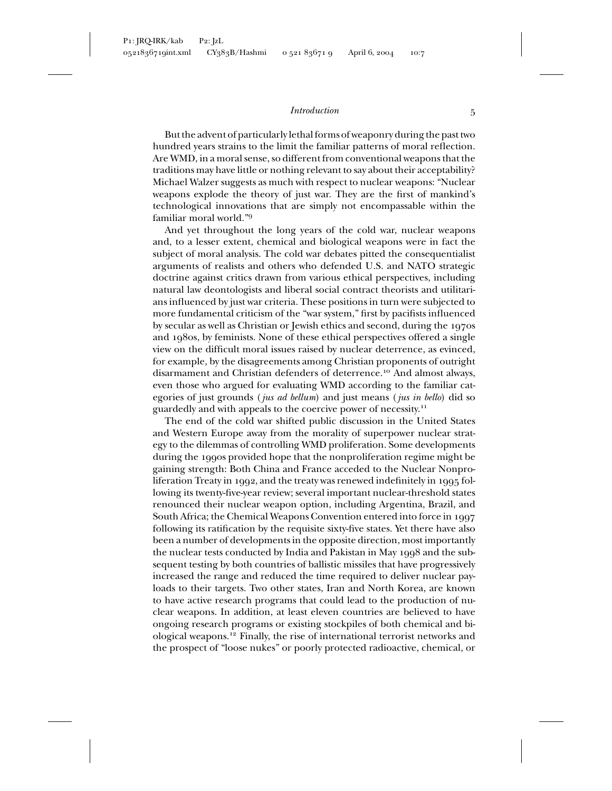But the advent of particularly lethal forms of weaponry during the past two hundred years strains to the limit the familiar patterns of moral reflection. Are WMD, in a moral sense, so different from conventional weapons that the traditions may have little or nothing relevant to say about their acceptability? Michael Walzer suggests as much with respect to nuclear weapons: "Nuclear weapons explode the theory of just war. They are the first of mankind's technological innovations that are simply not encompassable within the familiar moral world."<sup>9</sup>

And yet throughout the long years of the cold war, nuclear weapons and, to a lesser extent, chemical and biological weapons were in fact the subject of moral analysis. The cold war debates pitted the consequentialist arguments of realists and others who defended U.S. and NATO strategic doctrine against critics drawn from various ethical perspectives, including natural law deontologists and liberal social contract theorists and utilitarians influenced by just war criteria. These positions in turn were subjected to more fundamental criticism of the "war system," first by pacifists influenced by secular as well as Christian or Jewish ethics and second, during the 1970s and 1980s, by feminists. None of these ethical perspectives offered a single view on the difficult moral issues raised by nuclear deterrence, as evinced, for example, by the disagreements among Christian proponents of outright disarmament and Christian defenders of deterrence.<sup>10</sup> And almost always, even those who argued for evaluating WMD according to the familiar categories of just grounds (*jus ad bellum*) and just means (*jus in bello*) did so guardedly and with appeals to the coercive power of necessity.<sup>11</sup>

The end of the cold war shifted public discussion in the United States and Western Europe away from the morality of superpower nuclear strategy to the dilemmas of controlling WMD proliferation. Some developments during the 1990s provided hope that the nonproliferation regime might be gaining strength: Both China and France acceded to the Nuclear Nonproliferation Treaty in 1992, and the treaty was renewed indefinitely in 1995 following its twenty-five-year review; several important nuclear-threshold states renounced their nuclear weapon option, including Argentina, Brazil, and South Africa; the Chemical Weapons Convention entered into force in 1997 following its ratification by the requisite sixty-five states. Yet there have also been a number of developments in the opposite direction, most importantly the nuclear tests conducted by India and Pakistan in May 1998 and the subsequent testing by both countries of ballistic missiles that have progressively increased the range and reduced the time required to deliver nuclear payloads to their targets. Two other states, Iran and North Korea, are known to have active research programs that could lead to the production of nuclear weapons. In addition, at least eleven countries are believed to have ongoing research programs or existing stockpiles of both chemical and biological weapons.<sup>12</sup> Finally, the rise of international terrorist networks and the prospect of "loose nukes" or poorly protected radioactive, chemical, or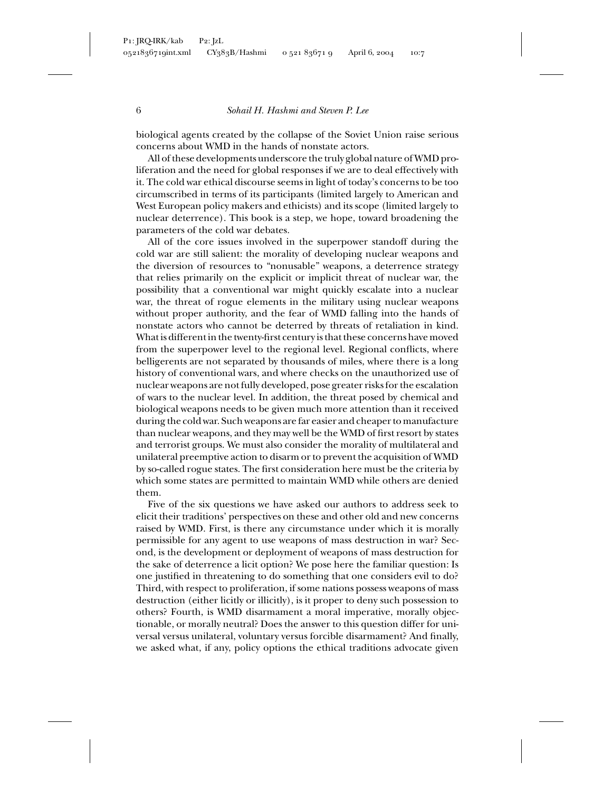biological agents created by the collapse of the Soviet Union raise serious concerns about WMD in the hands of nonstate actors.

All of these developments underscore the truly global nature of WMD proliferation and the need for global responses if we are to deal effectively with it. The cold war ethical discourse seems in light of today's concerns to be too circumscribed in terms of its participants (limited largely to American and West European policy makers and ethicists) and its scope (limited largely to nuclear deterrence). This book is a step, we hope, toward broadening the parameters of the cold war debates.

All of the core issues involved in the superpower standoff during the cold war are still salient: the morality of developing nuclear weapons and the diversion of resources to "nonusable" weapons, a deterrence strategy that relies primarily on the explicit or implicit threat of nuclear war, the possibility that a conventional war might quickly escalate into a nuclear war, the threat of rogue elements in the military using nuclear weapons without proper authority, and the fear of WMD falling into the hands of nonstate actors who cannot be deterred by threats of retaliation in kind. What is different in the twenty-first century is that these concerns have moved from the superpower level to the regional level. Regional conflicts, where belligerents are not separated by thousands of miles, where there is a long history of conventional wars, and where checks on the unauthorized use of nuclear weapons are not fully developed, pose greater risks for the escalation of wars to the nuclear level. In addition, the threat posed by chemical and biological weapons needs to be given much more attention than it received during the cold war. Such weapons are far easier and cheaper to manufacture than nuclear weapons, and they may well be the WMD of first resort by states and terrorist groups. We must also consider the morality of multilateral and unilateral preemptive action to disarm or to prevent the acquisition of WMD by so-called rogue states. The first consideration here must be the criteria by which some states are permitted to maintain WMD while others are denied them.

Five of the six questions we have asked our authors to address seek to elicit their traditions' perspectives on these and other old and new concerns raised by WMD. First, is there any circumstance under which it is morally permissible for any agent to use weapons of mass destruction in war? Second, is the development or deployment of weapons of mass destruction for the sake of deterrence a licit option? We pose here the familiar question: Is one justified in threatening to do something that one considers evil to do? Third, with respect to proliferation, if some nations possess weapons of mass destruction (either licitly or illicitly), is it proper to deny such possession to others? Fourth, is WMD disarmament a moral imperative, morally objectionable, or morally neutral? Does the answer to this question differ for universal versus unilateral, voluntary versus forcible disarmament? And finally, we asked what, if any, policy options the ethical traditions advocate given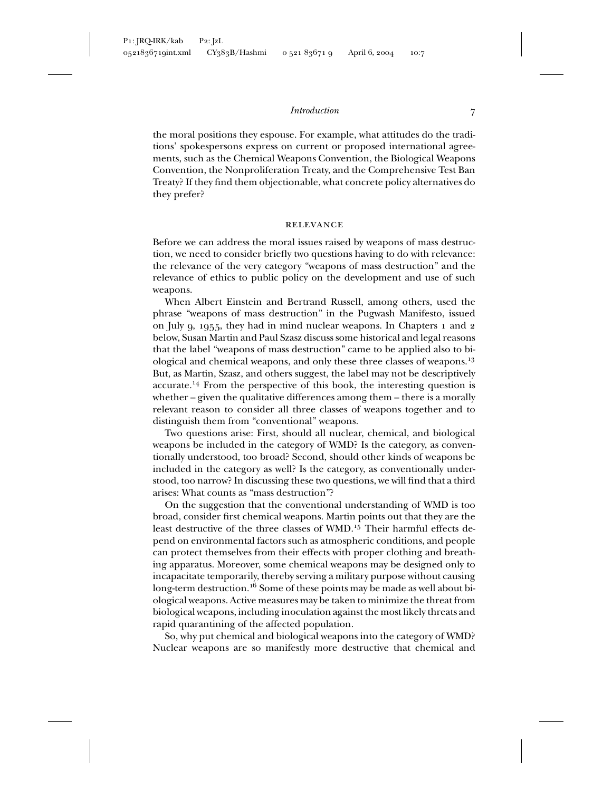the moral positions they espouse. For example, what attitudes do the traditions' spokespersons express on current or proposed international agreements, such as the Chemical Weapons Convention, the Biological Weapons Convention, the Nonproliferation Treaty, and the Comprehensive Test Ban Treaty? If they find them objectionable, what concrete policy alternatives do they prefer?

#### **RELEVANCE**

Before we can address the moral issues raised by weapons of mass destruction, we need to consider briefly two questions having to do with relevance: the relevance of the very category "weapons of mass destruction" and the relevance of ethics to public policy on the development and use of such weapons.

When Albert Einstein and Bertrand Russell, among others, used the phrase "weapons of mass destruction" in the Pugwash Manifesto, issued on July 9, 1955, they had in mind nuclear weapons. In Chapters 1 and 2 below, Susan Martin and Paul Szasz discuss some historical and legal reasons that the label "weapons of mass destruction" came to be applied also to biological and chemical weapons, and only these three classes of weapons.<sup>13</sup> But, as Martin, Szasz, and others suggest, the label may not be descriptively accurate.<sup>14</sup> From the perspective of this book, the interesting question is whether – given the qualitative differences among them – there is a morally relevant reason to consider all three classes of weapons together and to distinguish them from "conventional" weapons.

Two questions arise: First, should all nuclear, chemical, and biological weapons be included in the category of WMD? Is the category, as conventionally understood, too broad? Second, should other kinds of weapons be included in the category as well? Is the category, as conventionally understood, too narrow? In discussing these two questions, we will find that a third arises: What counts as "mass destruction"?

On the suggestion that the conventional understanding of WMD is too broad, consider first chemical weapons. Martin points out that they are the least destructive of the three classes of WMD.<sup>15</sup> Their harmful effects depend on environmental factors such as atmospheric conditions, and people can protect themselves from their effects with proper clothing and breathing apparatus. Moreover, some chemical weapons may be designed only to incapacitate temporarily, thereby serving a military purpose without causing long-term destruction.<sup>16</sup> Some of these points may be made as well about biological weapons. Active measures may be taken to minimize the threat from biological weapons, including inoculation against the most likely threats and rapid quarantining of the affected population.

So, why put chemical and biological weapons into the category of WMD? Nuclear weapons are so manifestly more destructive that chemical and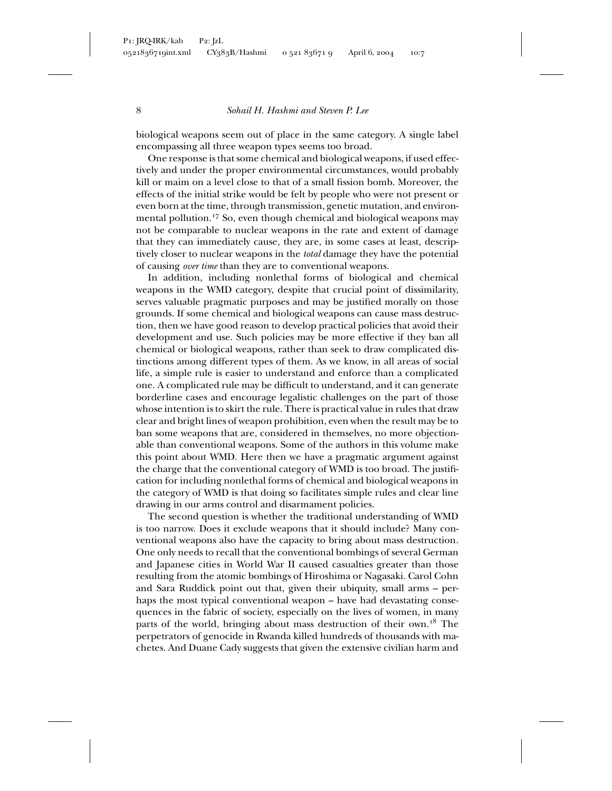biological weapons seem out of place in the same category. A single label encompassing all three weapon types seems too broad.

One response is that some chemical and biological weapons, if used effectively and under the proper environmental circumstances, would probably kill or maim on a level close to that of a small fission bomb. Moreover, the effects of the initial strike would be felt by people who were not present or even born at the time, through transmission, genetic mutation, and environmental pollution.<sup>17</sup> So, even though chemical and biological weapons may not be comparable to nuclear weapons in the rate and extent of damage that they can immediately cause, they are, in some cases at least, descriptively closer to nuclear weapons in the *total* damage they have the potential of causing *over time* than they are to conventional weapons.

In addition, including nonlethal forms of biological and chemical weapons in the WMD category, despite that crucial point of dissimilarity, serves valuable pragmatic purposes and may be justified morally on those grounds. If some chemical and biological weapons can cause mass destruction, then we have good reason to develop practical policies that avoid their development and use. Such policies may be more effective if they ban all chemical or biological weapons, rather than seek to draw complicated distinctions among different types of them. As we know, in all areas of social life, a simple rule is easier to understand and enforce than a complicated one. A complicated rule may be difficult to understand, and it can generate borderline cases and encourage legalistic challenges on the part of those whose intention is to skirt the rule. There is practical value in rules that draw clear and bright lines of weapon prohibition, even when the result may be to ban some weapons that are, considered in themselves, no more objectionable than conventional weapons. Some of the authors in this volume make this point about WMD. Here then we have a pragmatic argument against the charge that the conventional category of WMD is too broad. The justification for including nonlethal forms of chemical and biological weapons in the category of WMD is that doing so facilitates simple rules and clear line drawing in our arms control and disarmament policies.

The second question is whether the traditional understanding of WMD is too narrow. Does it exclude weapons that it should include? Many conventional weapons also have the capacity to bring about mass destruction. One only needs to recall that the conventional bombings of several German and Japanese cities in World War II caused casualties greater than those resulting from the atomic bombings of Hiroshima or Nagasaki. Carol Cohn and Sara Ruddick point out that, given their ubiquity, small arms – perhaps the most typical conventional weapon – have had devastating consequences in the fabric of society, especially on the lives of women, in many parts of the world, bringing about mass destruction of their own.<sup>18</sup> The perpetrators of genocide in Rwanda killed hundreds of thousands with machetes. And Duane Cady suggests that given the extensive civilian harm and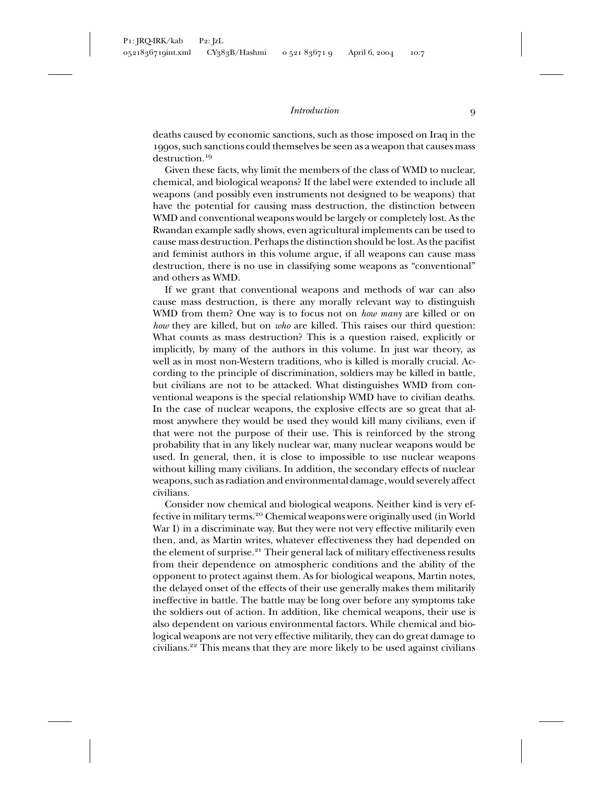deaths caused by economic sanctions, such as those imposed on Iraq in the 1990s, such sanctions could themselves be seen as a weapon that causes mass destruction.<sup>19</sup>

Given these facts, why limit the members of the class of WMD to nuclear, chemical, and biological weapons? If the label were extended to include all weapons (and possibly even instruments not designed to be weapons) that have the potential for causing mass destruction, the distinction between WMD and conventional weapons would be largely or completely lost. As the Rwandan example sadly shows, even agricultural implements can be used to cause mass destruction. Perhaps the distinction should be lost. As the pacifist and feminist authors in this volume argue, if all weapons can cause mass destruction, there is no use in classifying some weapons as "conventional" and others as WMD.

If we grant that conventional weapons and methods of war can also cause mass destruction, is there any morally relevant way to distinguish WMD from them? One way is to focus not on *how many* are killed or on *how* they are killed, but on *who* are killed. This raises our third question: What counts as mass destruction? This is a question raised, explicitly or implicitly, by many of the authors in this volume. In just war theory, as well as in most non-Western traditions, who is killed is morally crucial. According to the principle of discrimination, soldiers may be killed in battle, but civilians are not to be attacked. What distinguishes WMD from conventional weapons is the special relationship WMD have to civilian deaths. In the case of nuclear weapons, the explosive effects are so great that almost anywhere they would be used they would kill many civilians, even if that were not the purpose of their use. This is reinforced by the strong probability that in any likely nuclear war, many nuclear weapons would be used. In general, then, it is close to impossible to use nuclear weapons without killing many civilians. In addition, the secondary effects of nuclear weapons, such as radiation and environmental damage, would severely affect civilians.

Consider now chemical and biological weapons. Neither kind is very effective in military terms.<sup>20</sup> Chemical weapons were originally used (in World War I) in a discriminate way. But they were not very effective militarily even then, and, as Martin writes, whatever effectiveness they had depended on the element of surprise.<sup>21</sup> Their general lack of military effectiveness results from their dependence on atmospheric conditions and the ability of the opponent to protect against them. As for biological weapons, Martin notes, the delayed onset of the effects of their use generally makes them militarily ineffective in battle. The battle may be long over before any symptoms take the soldiers out of action. In addition, like chemical weapons, their use is also dependent on various environmental factors. While chemical and biological weapons are not very effective militarily, they can do great damage to civilians.<sup>22</sup> This means that they are more likely to be used against civilians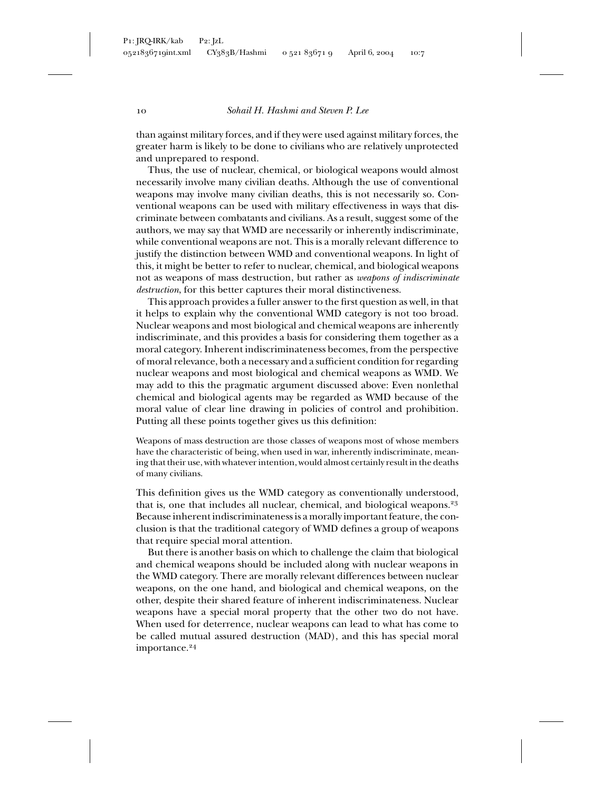than against military forces, and if they were used against military forces, the greater harm is likely to be done to civilians who are relatively unprotected and unprepared to respond.

Thus, the use of nuclear, chemical, or biological weapons would almost necessarily involve many civilian deaths. Although the use of conventional weapons may involve many civilian deaths, this is not necessarily so. Conventional weapons can be used with military effectiveness in ways that discriminate between combatants and civilians. As a result, suggest some of the authors, we may say that WMD are necessarily or inherently indiscriminate, while conventional weapons are not. This is a morally relevant difference to justify the distinction between WMD and conventional weapons. In light of this, it might be better to refer to nuclear, chemical, and biological weapons not as weapons of mass destruction, but rather as *weapons of indiscriminate destruction*, for this better captures their moral distinctiveness.

This approach provides a fuller answer to the first question as well, in that it helps to explain why the conventional WMD category is not too broad. Nuclear weapons and most biological and chemical weapons are inherently indiscriminate, and this provides a basis for considering them together as a moral category. Inherent indiscriminateness becomes, from the perspective of moral relevance, both a necessary and a sufficient condition for regarding nuclear weapons and most biological and chemical weapons as WMD. We may add to this the pragmatic argument discussed above: Even nonlethal chemical and biological agents may be regarded as WMD because of the moral value of clear line drawing in policies of control and prohibition. Putting all these points together gives us this definition:

Weapons of mass destruction are those classes of weapons most of whose members have the characteristic of being, when used in war, inherently indiscriminate, meaning that their use, with whatever intention, would almost certainly result in the deaths of many civilians.

This definition gives us the WMD category as conventionally understood, that is, one that includes all nuclear, chemical, and biological weapons.<sup>23</sup> Because inherent indiscriminateness is a morally important feature, the conclusion is that the traditional category of WMD defines a group of weapons that require special moral attention.

But there is another basis on which to challenge the claim that biological and chemical weapons should be included along with nuclear weapons in the WMD category. There are morally relevant differences between nuclear weapons, on the one hand, and biological and chemical weapons, on the other, despite their shared feature of inherent indiscriminateness. Nuclear weapons have a special moral property that the other two do not have. When used for deterrence, nuclear weapons can lead to what has come to be called mutual assured destruction (MAD), and this has special moral importance.<sup>24</sup>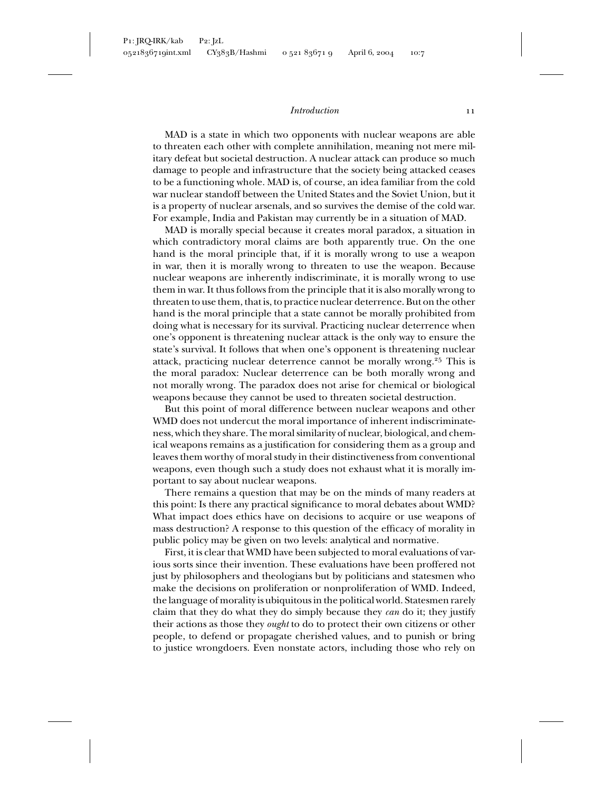MAD is a state in which two opponents with nuclear weapons are able to threaten each other with complete annihilation, meaning not mere military defeat but societal destruction. A nuclear attack can produce so much damage to people and infrastructure that the society being attacked ceases to be a functioning whole. MAD is, of course, an idea familiar from the cold war nuclear standoff between the United States and the Soviet Union, but it is a property of nuclear arsenals, and so survives the demise of the cold war. For example, India and Pakistan may currently be in a situation of MAD.

MAD is morally special because it creates moral paradox, a situation in which contradictory moral claims are both apparently true. On the one hand is the moral principle that, if it is morally wrong to use a weapon in war, then it is morally wrong to threaten to use the weapon. Because nuclear weapons are inherently indiscriminate, it is morally wrong to use them in war. It thus follows from the principle that it is also morally wrong to threaten to use them, that is, to practice nuclear deterrence. But on the other hand is the moral principle that a state cannot be morally prohibited from doing what is necessary for its survival. Practicing nuclear deterrence when one's opponent is threatening nuclear attack is the only way to ensure the state's survival. It follows that when one's opponent is threatening nuclear attack, practicing nuclear deterrence cannot be morally wrong.<sup>25</sup> This is the moral paradox: Nuclear deterrence can be both morally wrong and not morally wrong. The paradox does not arise for chemical or biological weapons because they cannot be used to threaten societal destruction.

But this point of moral difference between nuclear weapons and other WMD does not undercut the moral importance of inherent indiscriminateness, which they share. The moral similarity of nuclear, biological, and chemical weapons remains as a justification for considering them as a group and leaves them worthy of moral study in their distinctiveness from conventional weapons, even though such a study does not exhaust what it is morally important to say about nuclear weapons.

There remains a question that may be on the minds of many readers at this point: Is there any practical significance to moral debates about WMD? What impact does ethics have on decisions to acquire or use weapons of mass destruction? A response to this question of the efficacy of morality in public policy may be given on two levels: analytical and normative.

First, it is clear that WMD have been subjected to moral evaluations of various sorts since their invention. These evaluations have been proffered not just by philosophers and theologians but by politicians and statesmen who make the decisions on proliferation or nonproliferation of WMD. Indeed, the language of morality is ubiquitous in the political world. Statesmen rarely claim that they do what they do simply because they *can* do it; they justify their actions as those they *ought* to do to protect their own citizens or other people, to defend or propagate cherished values, and to punish or bring to justice wrongdoers. Even nonstate actors, including those who rely on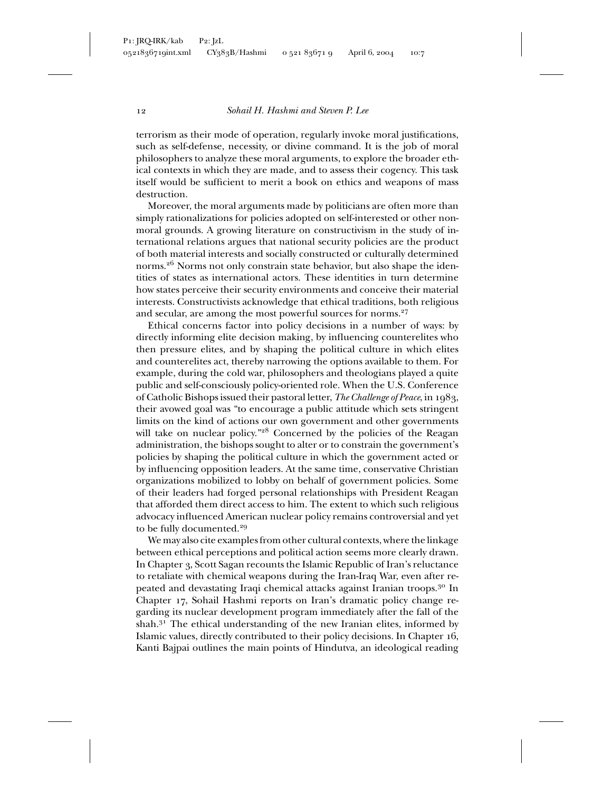terrorism as their mode of operation, regularly invoke moral justifications, such as self-defense, necessity, or divine command. It is the job of moral philosophers to analyze these moral arguments, to explore the broader ethical contexts in which they are made, and to assess their cogency. This task itself would be sufficient to merit a book on ethics and weapons of mass destruction.

Moreover, the moral arguments made by politicians are often more than simply rationalizations for policies adopted on self-interested or other nonmoral grounds. A growing literature on constructivism in the study of international relations argues that national security policies are the product of both material interests and socially constructed or culturally determined norms.<sup>26</sup> Norms not only constrain state behavior, but also shape the identities of states as international actors. These identities in turn determine how states perceive their security environments and conceive their material interests. Constructivists acknowledge that ethical traditions, both religious and secular, are among the most powerful sources for norms.<sup>27</sup>

Ethical concerns factor into policy decisions in a number of ways: by directly informing elite decision making, by influencing counterelites who then pressure elites, and by shaping the political culture in which elites and counterelites act, thereby narrowing the options available to them. For example, during the cold war, philosophers and theologians played a quite public and self-consciously policy-oriented role. When the U.S. Conference of Catholic Bishops issued their pastoral letter, *The Challenge of Peace*, in 1983, their avowed goal was "to encourage a public attitude which sets stringent limits on the kind of actions our own government and other governments will take on nuclear policy."<sup>28</sup> Concerned by the policies of the Reagan administration, the bishops sought to alter or to constrain the government's policies by shaping the political culture in which the government acted or by influencing opposition leaders. At the same time, conservative Christian organizations mobilized to lobby on behalf of government policies. Some of their leaders had forged personal relationships with President Reagan that afforded them direct access to him. The extent to which such religious advocacy influenced American nuclear policy remains controversial and yet to be fully documented.<sup>29</sup>

We may also cite examples from other cultural contexts, where the linkage between ethical perceptions and political action seems more clearly drawn. In Chapter 3, Scott Sagan recounts the Islamic Republic of Iran's reluctance to retaliate with chemical weapons during the Iran-Iraq War, even after repeated and devastating Iraqi chemical attacks against Iranian troops.<sup>30</sup> In Chapter 17, Sohail Hashmi reports on Iran's dramatic policy change regarding its nuclear development program immediately after the fall of the shah.<sup>31</sup> The ethical understanding of the new Iranian elites, informed by Islamic values, directly contributed to their policy decisions. In Chapter 16, Kanti Bajpai outlines the main points of Hindutva, an ideological reading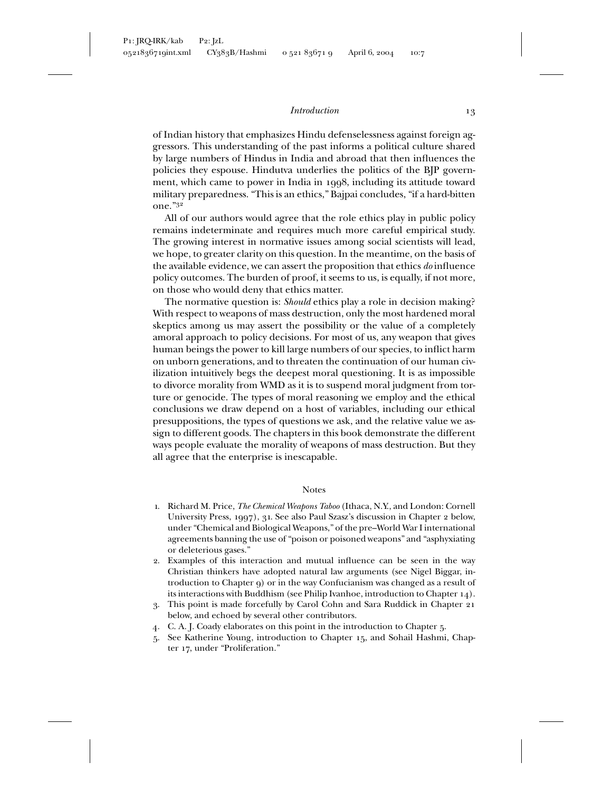of Indian history that emphasizes Hindu defenselessness against foreign aggressors. This understanding of the past informs a political culture shared by large numbers of Hindus in India and abroad that then influences the policies they espouse. Hindutva underlies the politics of the BJP government, which came to power in India in 1998, including its attitude toward military preparedness. "This is an ethics," Bajpai concludes, "if a hard-bitten one."<sup>32</sup>

All of our authors would agree that the role ethics play in public policy remains indeterminate and requires much more careful empirical study. The growing interest in normative issues among social scientists will lead, we hope, to greater clarity on this question. In the meantime, on the basis of the available evidence, we can assert the proposition that ethics *do* influence policy outcomes. The burden of proof, it seems to us, is equally, if not more, on those who would deny that ethics matter.

The normative question is: *Should* ethics play a role in decision making? With respect to weapons of mass destruction, only the most hardened moral skeptics among us may assert the possibility or the value of a completely amoral approach to policy decisions. For most of us, any weapon that gives human beings the power to kill large numbers of our species, to inflict harm on unborn generations, and to threaten the continuation of our human civilization intuitively begs the deepest moral questioning. It is as impossible to divorce morality from WMD as it is to suspend moral judgment from torture or genocide. The types of moral reasoning we employ and the ethical conclusions we draw depend on a host of variables, including our ethical presuppositions, the types of questions we ask, and the relative value we assign to different goods. The chapters in this book demonstrate the different ways people evaluate the morality of weapons of mass destruction. But they all agree that the enterprise is inescapable.

#### **Notes**

- 1. Richard M. Price, *The Chemical Weapons Taboo* (Ithaca, N.Y., and London: Cornell University Press, 1997), 31. See also Paul Szasz's discussion in Chapter 2 below, under "Chemical and Biological Weapons," of the pre–World War I international agreements banning the use of "poison or poisoned weapons" and "asphyxiating or deleterious gases."
- 2. Examples of this interaction and mutual influence can be seen in the way Christian thinkers have adopted natural law arguments (see Nigel Biggar, introduction to Chapter 9) or in the way Confucianism was changed as a result of its interactions with Buddhism (see Philip Ivanhoe, introduction to Chapter 14).
- 3. This point is made forcefully by Carol Cohn and Sara Ruddick in Chapter 21 below, and echoed by several other contributors.
- 4. C. A. J. Coady elaborates on this point in the introduction to Chapter 5.
- 5. See Katherine Young, introduction to Chapter 15, and Sohail Hashmi, Chapter 17, under "Proliferation."